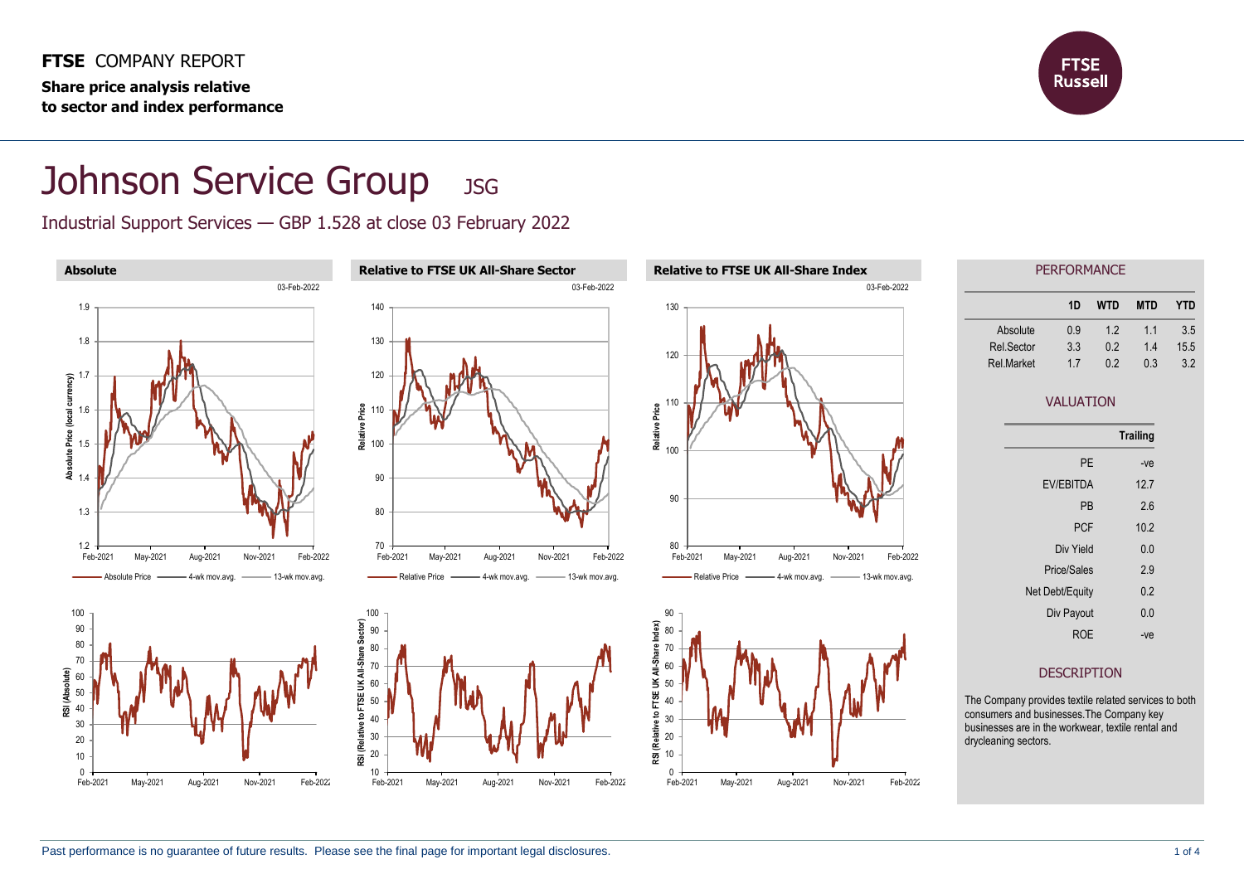**FTSE** COMPANY REPORT **Share price analysis relative to sector and index performance**



## Johnson Service Group JSG

Industrial Support Services — GBP 1.528 at close 03 February 2022

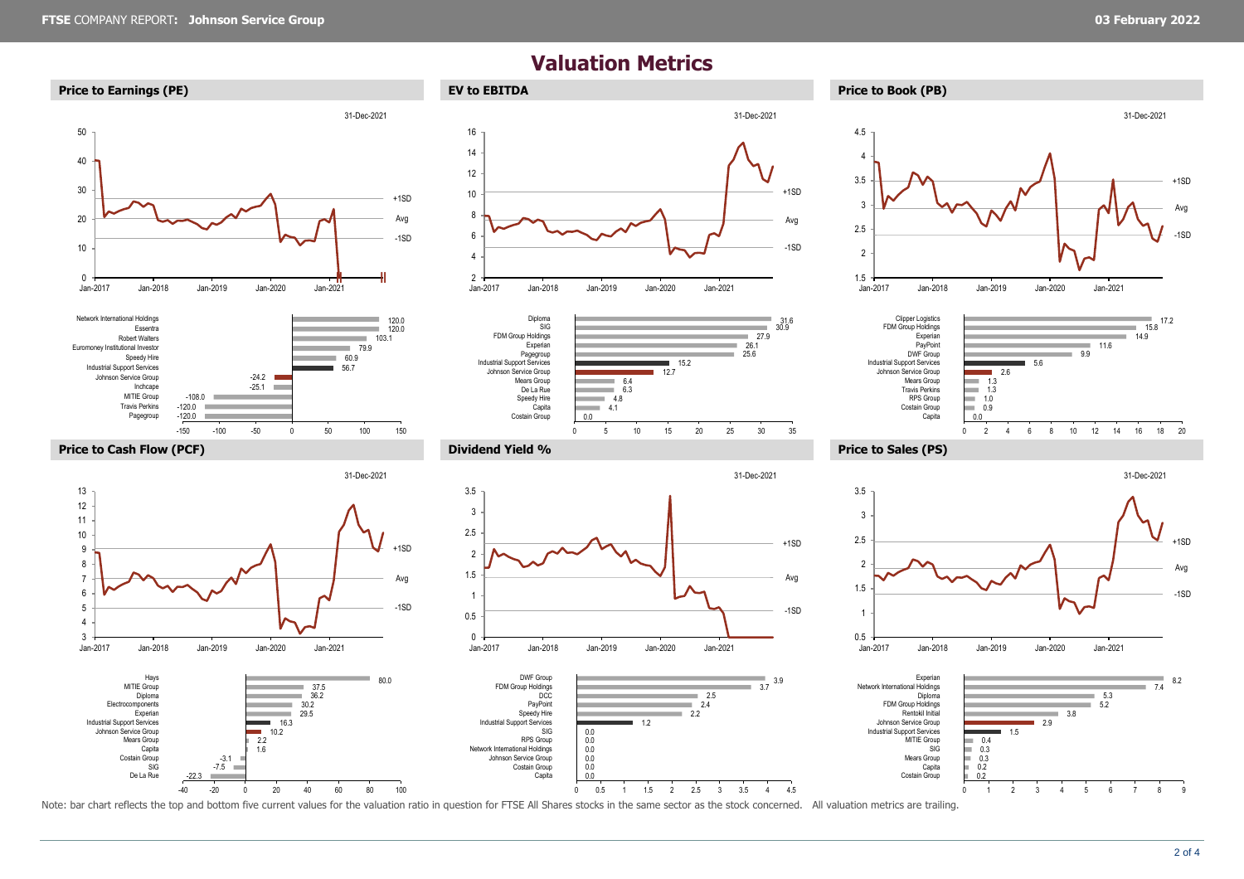$-120.0$ 

-22.3

De La Rue SIG Costain Group Capita

 $-7.5$ -3.1

Pagegroup

## **Valuation Metrics**













1.6

-40 -20 0 20 40 60 80 100

-150 -100 -50 0 50 100 150











Note: bar chart reflects the top and bottom five current values for the valuation ratio in question for FTSE All Shares stocks in the same sector as the stock concerned. All valuation metrics are trailing.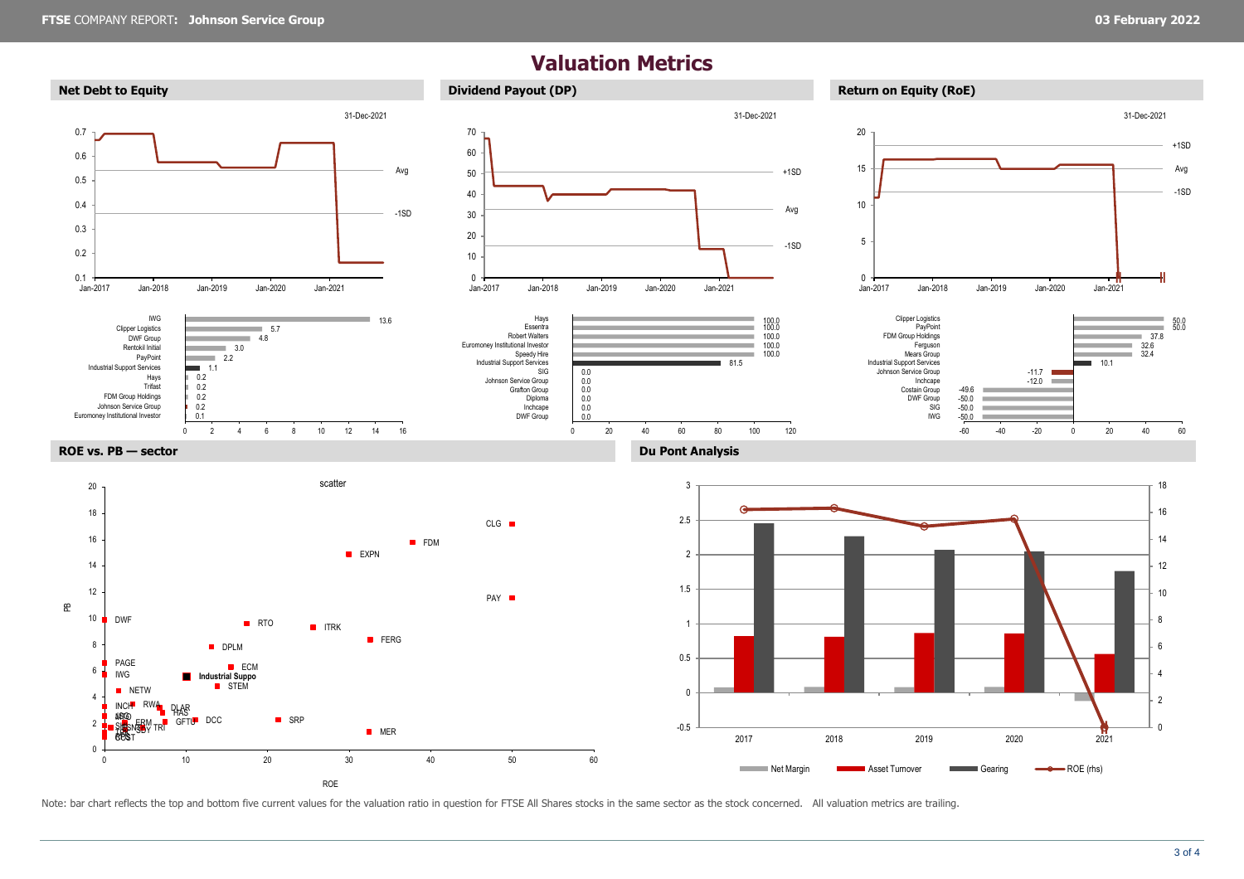## **Valuation Metrics**



Note: bar chart reflects the top and bottom five current values for the valuation ratio in question for FTSE All Shares stocks in the same sector as the stock concerned. All valuation metrics are trailing.